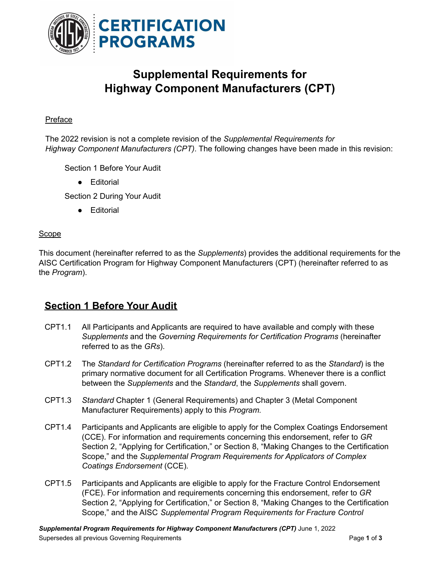

# **Supplemental Requirements for Highway Component Manufacturers (CPT)**

#### Preface

The 2022 revision is not a complete revision of the *Supplemental Requirements for Highway Component Manufacturers (CPT)*. The following changes have been made in this revision:

Section 1 Before Your Audit

● Editorial

Section 2 During Your Audit

● Editorial

#### Scope

This document (hereinafter referred to as the *Supplements*) provides the additional requirements for the AISC Certification Program for Highway Component Manufacturers (CPT) (hereinafter referred to as the *Program*).

### **Section 1 Before Your Audit**

- CPT1.1 All Participants and Applicants are required to have available and comply with these *Supplements* and the *Governing Requirements for Certification Programs* (hereinafter referred to as the *GRs*).
- CPT1.2 The *Standard for Certification Programs* (hereinafter referred to as the *Standard*) is the primary normative document for all Certification Programs. Whenever there is a conflict between the *Supplements* and the *Standard*, the *Supplements* shall govern.
- CPT1.3 *Standard* Chapter 1 (General Requirements) and Chapter 3 (Metal Component Manufacturer Requirements) apply to this *Program.*
- CPT1.4 Participants and Applicants are eligible to apply for the Complex Coatings Endorsement (CCE). For information and requirements concerning this endorsement, refer to *GR* Section 2, "Applying for Certification," or Section 8, "Making Changes to the Certification Scope," and the *Supplemental Program Requirements for Applicators of Complex Coatings Endorsement* (CCE)*.*
- CPT1.5 Participants and Applicants are eligible to apply for the Fracture Control Endorsement (FCE). For information and requirements concerning this endorsement, refer to *GR* Section 2, "Applying for Certification," or Section 8, "Making Changes to the Certification Scope," and the AISC *Supplemental Program Requirements for Fracture Control*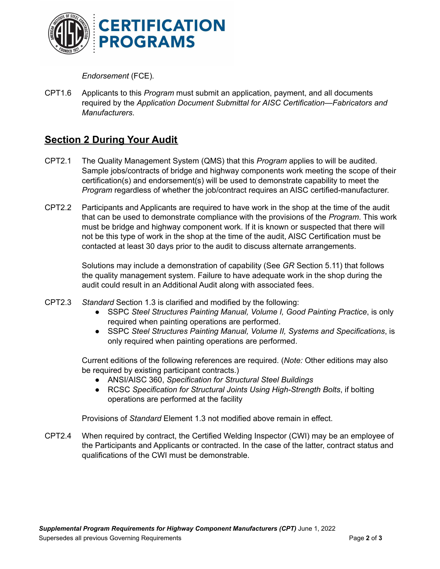

*Endorsement* (FCE)*.*

CPT1.6 Applicants to this *Program* must submit an application, payment, and all documents required by the *Application Document Submittal for AISC Certification—Fabricators and Manufacturers*.

## **Section 2 During Your Audit**

- CPT2.1 The Quality Management System (QMS) that this *Program* applies to will be audited. Sample jobs/contracts of bridge and highway components work meeting the scope of their certification(s) and endorsement(s) will be used to demonstrate capability to meet the *Program* regardless of whether the job/contract requires an AISC certified-manufacturer.
- CPT2.2 Participants and Applicants are required to have work in the shop at the time of the audit that can be used to demonstrate compliance with the provisions of the *Program*. This work must be bridge and highway component work. If it is known or suspected that there will not be this type of work in the shop at the time of the audit, AISC Certification must be contacted at least 30 days prior to the audit to discuss alternate arrangements.

Solutions may include a demonstration of capability (See *GR* Section 5.11) that follows the quality management system. Failure to have adequate work in the shop during the audit could result in an Additional Audit along with associated fees.

- CPT2.3 *Standard* Section 1.3 is clarified and modified by the following:
	- SSPC *Steel Structures Painting Manual, Volume I, Good Painting Practice*, is only required when painting operations are performed.
	- SSPC *Steel Structures Painting Manual, Volume II, Systems and Specifications*, is only required when painting operations are performed.

Current editions of the following references are required. (*Note:* Other editions may also be required by existing participant contracts.)

- *●* ANSI/AISC 360, *Specification for Structural Steel Buildings*
- *●* RCSC *Specification for Structural Joints Using High-Strength Bolts*, if bolting operations are performed at the facility

Provisions of *Standard* Element 1.3 not modified above remain in effect.

CPT2.4 When required by contract, the Certified Welding Inspector (CWI) may be an employee of the Participants and Applicants or contracted. In the case of the latter, contract status and qualifications of the CWI must be demonstrable.